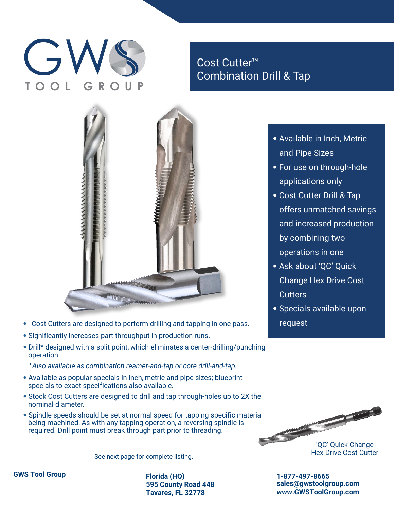# $\overline{G}$

Cost Cutter™ Combination Drill & Tap



- Cost Cutters are designed to perform drilling and tapping in one pass.
- Significantly increases part throughput in production runs.
- Drill\* designed with a split point, which eliminates a center-drilling/punching operation.
	- *\* Also available as combination reamer-and-tap or core drill-and-tap.*
- Available as popular specials in inch, metric and pipe sizes; blueprint specials to exact specifications also available.
- Stock Cost Cutters are designed to drill and tap through-holes up to 2X the nominal diameter.
- Spindle speeds should be set at normal speed for tapping specific material being machined. As with any tapping operation, a reversing spindle is required. Drill point must break through part prior to threading.

See next page for complete listing.



'QC' Quick Change

**1-877-497-8665 sales@gwstoolgroup.com www.GWSToolGroup.com**



**595 County Road 448 Tavares, FL 32778**

- Available in Inch, Metric and Pipe Sizes
- For use on through-hole applications only
- Cost Cutter Drill & Tap offers unmatched savings and increased production by combining two operations in one
- Ask about 'QC' Quick Change Hex Drive Cost **Cutters**
- Specials available upon request